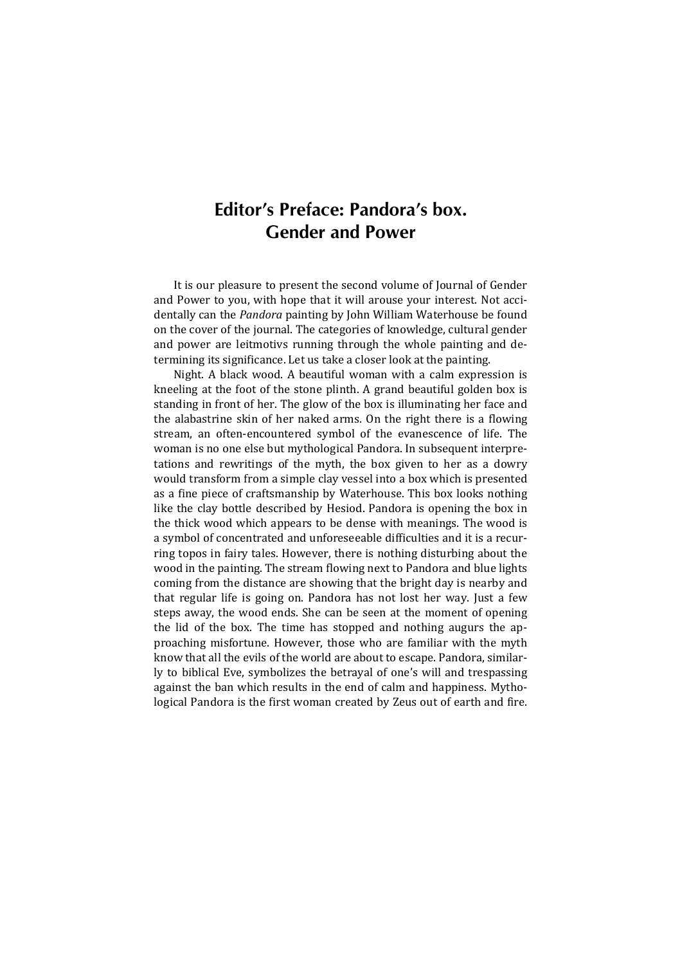## **Editor's Preface: Pandora's box. Gender and Power**

It is our pleasure to present the second volume of Journal of Gender and Power to you, with hope that it will arouse your interest. Not accidentally can the *Pandora* painting by John William Waterhouse be found on the cover of the journal. The categories of knowledge, cultural gender and power are leitmotivs running through the whole painting and determining its significance. Let us take a closer look at the painting.

Night. A black wood. A beautiful woman with a calm expression is kneeling at the foot of the stone plinth. A grand beautiful golden box is standing in front of her. The glow of the box is illuminating her face and the alabastrine skin of her naked arms. On the right there is a flowing stream, an often-encountered symbol of the evanescence of life. The woman is no one else but mythological Pandora. In subsequent interpretations and rewritings of the myth, the box given to her as a dowry would transform from a simple clay vessel into a box which is presented as a fine piece of craftsmanship by Waterhouse. This box looks nothing like the clay bottle described by Hesiod. Pandora is opening the box in the thick wood which appears to be dense with meanings. The wood is a symbol of concentrated and unforeseeable difficulties and it is a recurring topos in fairy tales. However, there is nothing disturbing about the wood in the painting. The stream flowing next to Pandora and blue lights coming from the distance are showing that the bright day is nearby and that regular life is going on. Pandora has not lost her way. Just a few steps away, the wood ends. She can be seen at the moment of opening the lid of the box. The time has stopped and nothing augurs the approaching misfortune. However, those who are familiar with the myth know that all the evils of the world are about to escape. Pandora, similarly to biblical Eve, symbolizes the betrayal of one's will and trespassing against the ban which results in the end of calm and happiness. Mythological Pandora is the first woman created by Zeus out of earth and fire.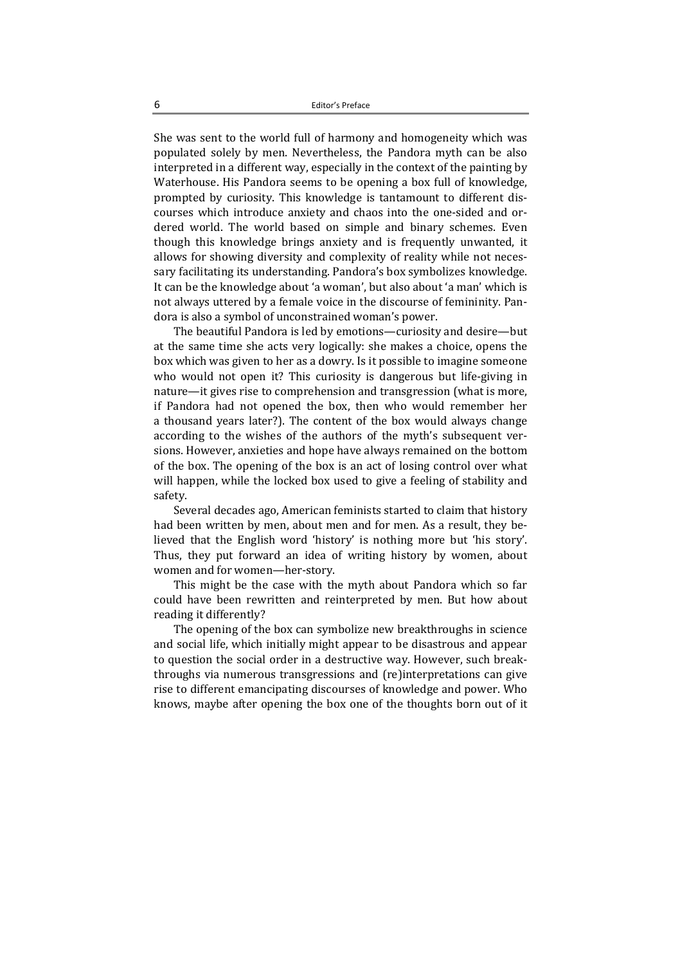She was sent to the world full of harmony and homogeneity which was populated solely by men. Nevertheless, the Pandora myth can be also interpreted in a different way, especially in the context of the painting by Waterhouse. His Pandora seems to be opening a box full of knowledge, prompted by curiosity. This knowledge is tantamount to different discourses which introduce anxiety and chaos into the one-sided and ordered world. The world based on simple and binary schemes. Even though this knowledge brings anxiety and is frequently unwanted, it allows for showing diversity and complexity of reality while not necessary facilitating its understanding. Pandora's box symbolizes knowledge. It can be the knowledge about 'a woman', but also about 'a man' which is not always uttered by a female voice in the discourse of femininity. Pandora is also a symbol of unconstrained woman's power.

The beautiful Pandora is led by emotions—curiosity and desire—but at the same time she acts very logically: she makes a choice, opens the box which was given to her as a dowry. Is it possible to imagine someone who would not open it? This curiosity is dangerous but life-giving in nature—it gives rise to comprehension and transgression (what is more, if Pandora had not opened the box, then who would remember her a thousand years later?). The content of the box would always change according to the wishes of the authors of the myth's subsequent versions. However, anxieties and hope have always remained on the bottom of the box. The opening of the box is an act of losing control over what will happen, while the locked box used to give a feeling of stability and safety. 

Several decades ago, American feminists started to claim that history had been written by men, about men and for men. As a result, they believed that the English word 'history' is nothing more but 'his story'. Thus, they put forward an idea of writing history by women, about women and for women—her-story.

This might be the case with the myth about Pandora which so far could have been rewritten and reinterpreted by men. But how about reading it differently?

The opening of the box can symbolize new breakthroughs in science and social life, which initially might appear to be disastrous and appear to question the social order in a destructive way. However, such breakthroughs via numerous transgressions and (re)interpretations can give rise to different emancipating discourses of knowledge and power. Who knows, maybe after opening the box one of the thoughts born out of it